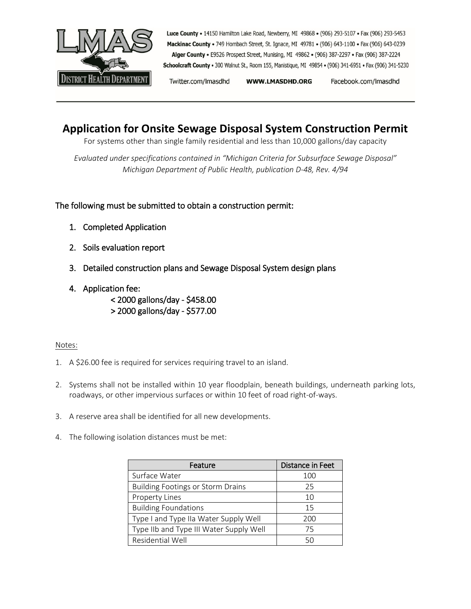

Luce County . 14150 Hamilton Lake Road, Newberry, MI 49868 . (906) 293-5107 . Fax (906) 293-5453 Mackinac County . 749 Hombach Street, St. Ignace, MI 49781 . (906) 643-1100 . Fax (906) 643-0239 Alger County . E9526 Prospect Street, Munising, MI 49862 . (906) 387-2297 . Fax (906) 387-2224 Schoolcraft County . 300 Walnut St., Room 155, Manistique, MI 49854 . (906) 341-6951 . Fax (906) 341-5230

Twitter.com/Imasdhd WWW.LMASDHD.ORG Facebook.com/Imasdhd

## **Application for Onsite Sewage Disposal System Construction Permit**

For systems other than single family residential and less than 10,000 gallons/day capacity

*Evaluated under specifications contained in "Michigan Criteria for Subsurface Sewage Disposal" Michigan Department of Public Health, publication D-48, Rev. 4/94*

#### The following must be submitted to obtain a construction permit:

- 1. Completed Application
- 2. Soils evaluation report
- 3. Detailed construction plans and Sewage Disposal System design plans
- 4. Application fee:
	- < 2000 gallons/day \$458.00 > 2000 gallons/day - \$577.00
- Notes:
- 1. A \$26.00 fee is required for services requiring travel to an island.
- 2. Systems shall not be installed within 10 year floodplain, beneath buildings, underneath parking lots, roadways, or other impervious surfaces or within 10 feet of road right-of-ways.
- 3. A reserve area shall be identified for all new developments.
- 4. The following isolation distances must be met:

| Feature                                  | Distance in Feet |
|------------------------------------------|------------------|
| Surface Water                            | 100              |
| <b>Building Footings or Storm Drains</b> | 25               |
| Property Lines                           | 10               |
| <b>Building Foundations</b>              | 15               |
| Type I and Type IIa Water Supply Well    | 200              |
| Type IIb and Type III Water Supply Well  | 75               |
| Residential Well                         |                  |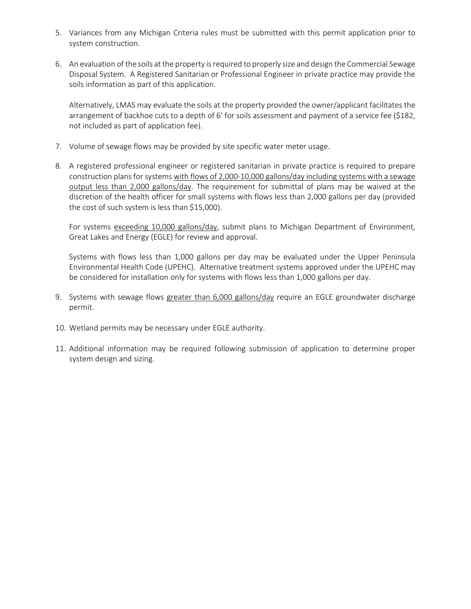- 5. Variances from any Michigan Criteria rules must be submitted with this permit application prior to system construction.
- 6. An evaluation of the soils at the property is required to properly size and design the Commercial Sewage Disposal System. A Registered Sanitarian or Professional Engineer in private practice may provide the soils information as part of this application.

Alternatively, LMAS may evaluate the soils at the property provided the owner/applicant facilitates the arrangement of backhoe cuts to a depth of 6' for soils assessment and payment of a service fee (\$182, not included as part of application fee).

- 7. Volume of sewage flows may be provided by site specific water meter usage.
- 8. A registered professional engineer or registered sanitarian in private practice is required to prepare construction plans for systems with flows of 2,000-10,000 gallons/day including systems with a sewage output less than 2,000 gallons/day. The requirement for submittal of plans may be waived at the discretion of the health officer for small systems with flows less than 2,000 gallons per day (provided the cost of such system is less than \$15,000).

For systems exceeding 10,000 gallons/day, submit plans to Michigan Department of Environment, Great Lakes and Energy (EGLE) for review and approval.

Systems with flows less than 1,000 gallons per day may be evaluated under the Upper Peninsula Environmental Health Code (UPEHC). Alternative treatment systems approved under the UPEHC may be considered for installation only for systems with flows less than 1,000 gallons per day.

- 9. Systems with sewage flows greater than 6,000 gallons/day require an EGLE groundwater discharge permit.
- 10. Wetland permits may be necessary under EGLE authority.
- 11. Additional information may be required following submission of application to determine proper system design and sizing.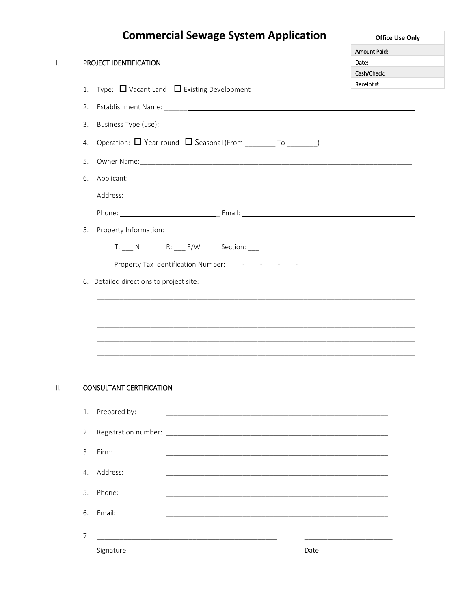# **Commercial Sewage System Application**

 $\hat{\mathbf{L}}$ 

PROJECT IDENTIFICATION

|              | <b>Office Use Only</b> |
|--------------|------------------------|
| Amount Paid: |                        |
| Date:        |                        |
| Cash/Check:  |                        |
| Receipt #:   |                        |

|     | 1. | Receipt #:<br>Type: $\Box$ Vacant Land $\Box$ Existing Development                                                    |
|-----|----|-----------------------------------------------------------------------------------------------------------------------|
|     | 2. |                                                                                                                       |
|     | 3. |                                                                                                                       |
|     | 4. | Operation: U Year-round U Seasonal (From ________ To ________)                                                        |
|     | 5. |                                                                                                                       |
|     | 6. |                                                                                                                       |
|     |    |                                                                                                                       |
|     |    |                                                                                                                       |
|     | 5. | Property Information:                                                                                                 |
|     |    | T: N R: E/W Section:                                                                                                  |
|     |    |                                                                                                                       |
|     |    | 6. Detailed directions to project site:                                                                               |
|     |    | <u> 1980 - John Stone, Amerikaansk politiker (* 1980)</u>                                                             |
|     |    |                                                                                                                       |
|     |    | <u> 1989 - Jan James James, martin amerikan bertama dalam penyakan bertama dalam pendadaran bertama dalam pendada</u> |
|     |    |                                                                                                                       |
|     |    |                                                                                                                       |
| II. |    | <b>CONSULTANT CERTIFICATION</b>                                                                                       |
|     | 1. | Prepared by:                                                                                                          |
|     | 2. |                                                                                                                       |
|     | 3. | Firm:                                                                                                                 |
|     | 4. | Address:                                                                                                              |
|     | 5. | Phone:                                                                                                                |
|     | 6. | Email:                                                                                                                |
|     | 7. |                                                                                                                       |
|     |    | Signature<br>Date                                                                                                     |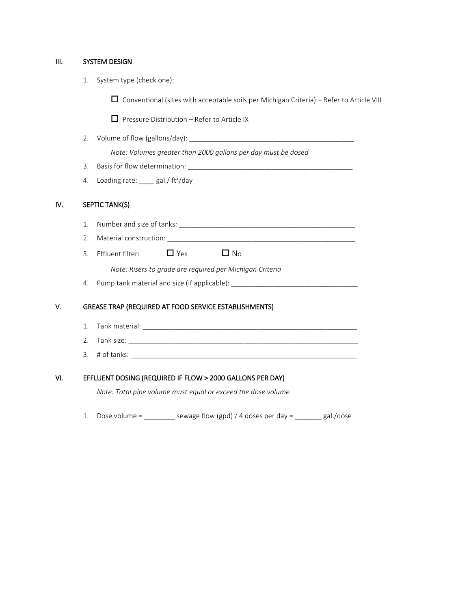#### III. SYSTEM DESIGN

1. System type (check one):

 $\Box$  Conventional (sites with acceptable soils per Michigan Criteria) – Refer to Article VIII

 $\Box$  Pressure Distribution – Refer to Article IX

2. Volume of flow (gallons/day): \_\_\_\_\_\_\_\_\_\_\_\_\_\_\_\_\_\_\_\_\_\_\_\_\_\_\_\_\_\_\_\_\_\_\_\_\_\_\_\_\_\_\_

*Note: Volumes greater than 2000 gallons per day must be dosed*

- 3. Basis for flow determination: \_\_\_\_\_\_\_\_\_\_\_\_\_\_\_\_\_\_\_\_\_\_\_\_\_\_\_\_\_\_\_\_\_\_\_\_\_\_\_\_\_\_\_
- 4. Loading rate:  $\frac{1}{\sqrt{1-\frac{1}{c^2}}}$  gal./ ft<sup>2</sup>/day

#### IV. SEPTIC TANK(S)

- 1. Number and size of tanks: \_\_\_\_\_\_\_\_\_\_\_\_\_\_\_\_\_\_\_\_\_\_\_\_\_\_\_\_\_\_\_\_\_\_\_\_\_\_\_\_\_\_\_\_\_\_
- 2. Material construction: \_\_\_\_\_\_\_\_\_\_\_\_\_\_\_\_\_\_\_\_\_\_\_\_\_\_\_\_\_\_\_\_\_\_\_\_\_\_\_\_\_\_\_\_\_\_\_\_\_
- 3. Effluent filter:  $\Box$  Yes  $\Box$  No

*Note: Risers to grade are required per Michigan Criteria*

4. Pump tank material and size (if applicable): \_\_\_\_\_\_\_\_\_\_\_\_\_\_\_\_\_\_\_\_\_\_\_\_\_\_\_\_\_\_\_\_

#### V. GREASE TRAP (REQUIRED AT FOOD SERVICE ESTABLISHMENTS)

- 1. Tank material: \_\_\_\_\_\_\_\_\_\_\_\_\_\_\_\_\_\_\_\_\_\_\_\_\_\_\_\_\_\_\_\_\_\_\_\_\_\_\_\_\_\_\_\_\_\_\_\_\_\_\_\_\_\_\_\_
- 2. Tank size:
- 3. # of tanks: \_\_\_\_\_\_\_\_\_\_\_\_\_\_\_\_\_\_\_\_\_\_\_\_\_\_\_\_\_\_\_\_\_\_\_\_\_\_\_\_\_\_\_\_\_\_\_\_\_\_\_\_\_\_\_\_\_\_\_

#### VI. EFFLUENT DOSING (REQUIRED IF FLOW > 2000 GALLONS PER DAY)

*Note: Total pipe volume must equal or exceed the dose volume.*

1. Dose volume =  $\frac{1}{2}$  sewage flow (gpd) / 4 doses per day =  $\frac{1}{2}$  gal./dose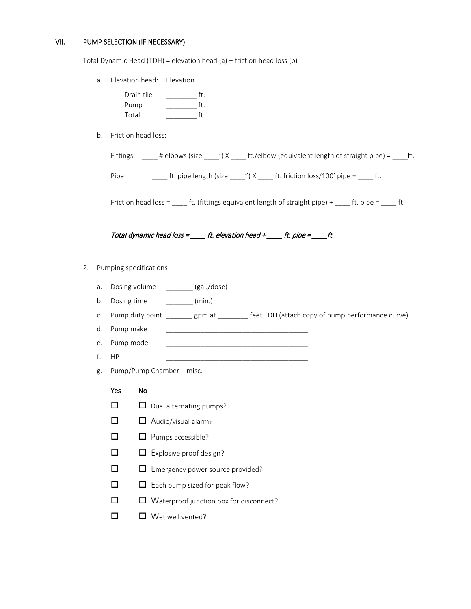#### VII. PUMP SELECTION (IF NECESSARY)

Total Dynamic Head (TDH) = elevation head (a) + friction head loss (b)

a. Elevation head: Elevation

| Drain tile |  |
|------------|--|
| Pump       |  |
| Total      |  |

b. Friction head loss:

|       |  | Fittings: _____ # elbows (size _____') $X$ _____ ft./elbow (equivalent length of straight pipe) = _____ ft. |  |
|-------|--|-------------------------------------------------------------------------------------------------------------|--|
| Pipe: |  | ft. pipe length (size $\gamma$ ) X ft. friction loss/100' pipe = ft.                                        |  |

Friction head loss =  $\_\_\_$ ft. (fittings equivalent length of straight pipe) +  $\_\_\_$ ft. pipe =  $\_\_\_$ ft.

### Total dynamic head loss =  $f{f}$ t. elevation head +  $f{f}$ . pipe =  $f{f}$ .

#### 2. Pumping specifications

- a. Dosing volume \_\_\_\_\_\_ (gal./dose)
- b. Dosing time  $\qquad \qquad \qquad$  (min.)
- c. Pump duty point \_\_\_\_\_\_\_\_ gpm at \_\_\_\_\_\_\_\_ feet TDH (attach copy of pump performance curve)
- d. Pump make
- e. Pump model \_\_\_\_\_\_\_\_\_\_\_\_\_\_\_\_\_\_\_\_\_\_\_\_\_\_\_\_\_\_\_\_\_\_\_\_\_
- $f.$  HP
- g. Pump/Pump Chamber misc.
	- Yes No
	- $\Box$   $\Box$  Dual alternating pumps?
	- $\Box$   $\Box$  Audio/visual alarm?
	- $\Box$   $\Box$  Pumps accessible?
	- $\Box$  Explosive proof design?
	- Emergency power source provided?
	- $\square$   $\square$  Each pump sized for peak flow?
	- □ □ Waterproof junction box for disconnect?
	- $\Box$  Wet well vented?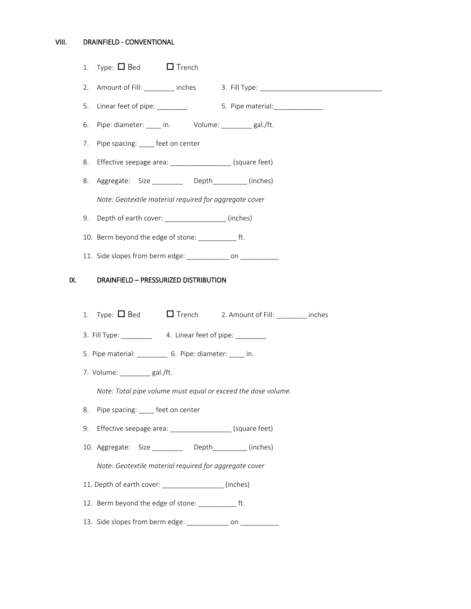#### VIII. DRAINFIELD - CONVENTIONAL

|     | 1.                                                            | $Type: \Box$ Bed $\Box$ Trench                                                   |  |  |  |
|-----|---------------------------------------------------------------|----------------------------------------------------------------------------------|--|--|--|
|     | 2.                                                            | Amount of Fill: ________ inches 3. Fill Type: __________________________________ |  |  |  |
|     | 5.                                                            | Linear feet of pipe: ________<br>5. Pipe material: _______________               |  |  |  |
|     | 6.                                                            |                                                                                  |  |  |  |
|     | 7.                                                            | Pipe spacing: ____ feet on center                                                |  |  |  |
|     | 8.                                                            | Effective seepage area: ____________________(square feet)                        |  |  |  |
|     | 8.                                                            | Aggregate: Size _________ Depth________(inches)                                  |  |  |  |
|     |                                                               | Note: Geotextile material required for aggregate cover                           |  |  |  |
|     | 9.                                                            | Depth of earth cover: __________________(inches)                                 |  |  |  |
|     |                                                               | 10. Berm beyond the edge of stone: _____________ ft.                             |  |  |  |
|     |                                                               | 11. Side slopes from berm edge: _____________ on ___________                     |  |  |  |
| IX. |                                                               | DRAINFIELD - PRESSURIZED DISTRIBUTION                                            |  |  |  |
|     |                                                               |                                                                                  |  |  |  |
|     | 1.                                                            | Type: $\Box$ Bed $\Box$ Trench 2. Amount of Fill: ________ inches                |  |  |  |
|     |                                                               |                                                                                  |  |  |  |
|     |                                                               | 5. Pipe material: ____________ 6. Pipe: diameter: _____ in.                      |  |  |  |
|     |                                                               | 7. Volume: _________ gal./ft.                                                    |  |  |  |
|     | Note: Total pipe volume must equal or exceed the dose volume. |                                                                                  |  |  |  |
|     | 8.                                                            | Pipe spacing: ____ feet on center                                                |  |  |  |
|     | 9.                                                            | Effective seepage area: ____________________ (square feet)                       |  |  |  |
|     |                                                               | 10. Aggregate: Size ________ Depth________ (inches)                              |  |  |  |
|     |                                                               | Note: Geotextile material required for aggregate cover                           |  |  |  |
|     |                                                               | 11. Depth of earth cover: ________________(inches)                               |  |  |  |
|     |                                                               | 12. Berm beyond the edge of stone: _____________ ft.                             |  |  |  |
|     |                                                               | 13. Side slopes from berm edge: ______________ on ____________                   |  |  |  |